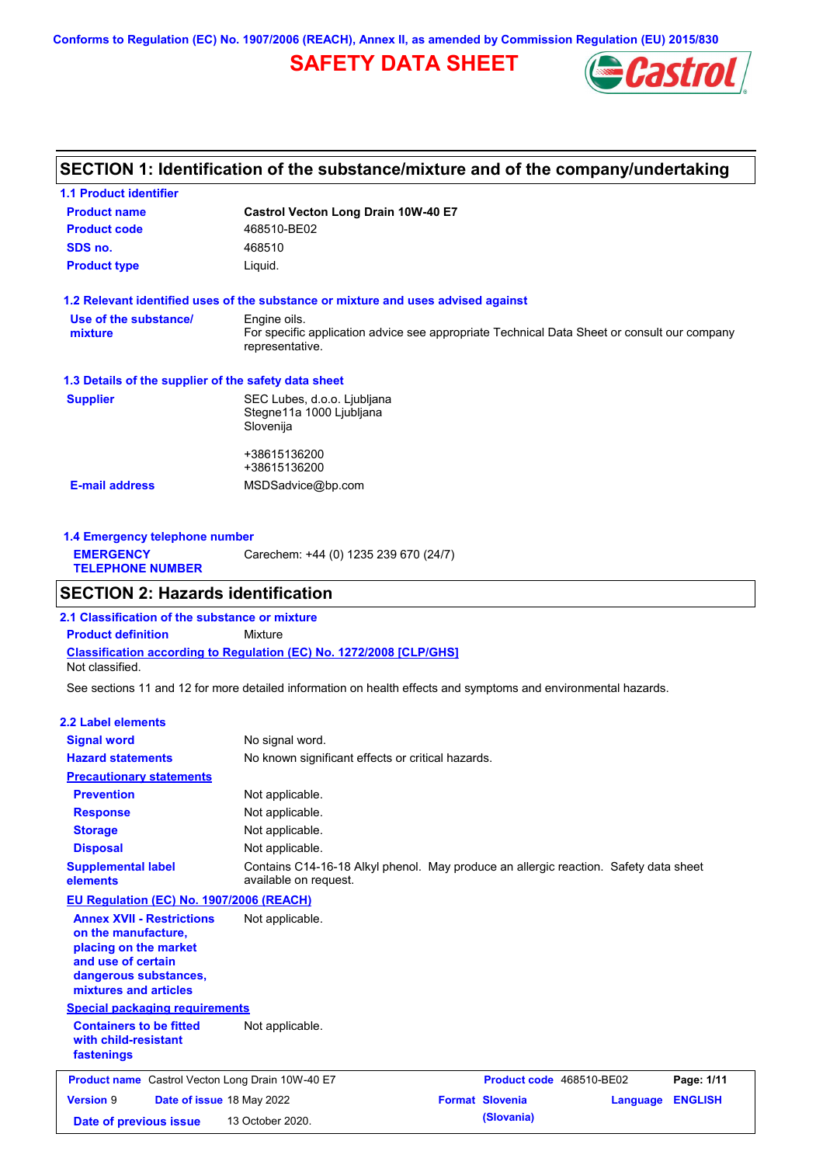**Conforms to Regulation (EC) No. 1907/2006 (REACH), Annex II, as amended by Commission Regulation (EU) 2015/830**

# **SAFETY DATA SHEET**



# **SECTION 1: Identification of the substance/mixture and of the company/undertaking**

| <b>1.1 Product identifier</b>                        |                                                                                                                |  |  |  |  |
|------------------------------------------------------|----------------------------------------------------------------------------------------------------------------|--|--|--|--|
| <b>Product name</b>                                  | Castrol Vecton Long Drain 10W-40 E7                                                                            |  |  |  |  |
| <b>Product code</b>                                  | 468510-BE02                                                                                                    |  |  |  |  |
| SDS no.                                              | 468510                                                                                                         |  |  |  |  |
| <b>Product type</b>                                  | Liquid.                                                                                                        |  |  |  |  |
|                                                      | 1.2 Relevant identified uses of the substance or mixture and uses advised against                              |  |  |  |  |
| Use of the substance/                                | Engine oils.                                                                                                   |  |  |  |  |
| mixture                                              | For specific application advice see appropriate Technical Data Sheet or consult our company<br>representative. |  |  |  |  |
| 1.3 Details of the supplier of the safety data sheet |                                                                                                                |  |  |  |  |
| <b>Supplier</b>                                      | SEC Lubes, d.o.o. Ljubljana                                                                                    |  |  |  |  |
|                                                      | Stegne11a 1000 Ljubljana                                                                                       |  |  |  |  |
|                                                      | Slovenija                                                                                                      |  |  |  |  |
|                                                      | +38615136200                                                                                                   |  |  |  |  |
|                                                      | +38615136200                                                                                                   |  |  |  |  |
| <b>E-mail address</b>                                | MSDSadvice@bp.com                                                                                              |  |  |  |  |
|                                                      |                                                                                                                |  |  |  |  |
|                                                      |                                                                                                                |  |  |  |  |

| 1.4 Emergency telephone number              |                                       |  |  |  |
|---------------------------------------------|---------------------------------------|--|--|--|
| <b>EMERGENCY</b><br><b>TELEPHONE NUMBER</b> | Carechem: +44 (0) 1235 239 670 (24/7) |  |  |  |

# **SECTION 2: Hazards identification**

**Classification according to Regulation (EC) No. 1272/2008 [CLP/GHS] 2.1 Classification of the substance or mixture Product definition** Mixture Not classified.

See sections 11 and 12 for more detailed information on health effects and symptoms and environmental hazards.

### **2.2 Label elements**

| <b>Signal word</b>                                                                                                                                       | No signal word.                                                                                               |                          |          |                |
|----------------------------------------------------------------------------------------------------------------------------------------------------------|---------------------------------------------------------------------------------------------------------------|--------------------------|----------|----------------|
| <b>Hazard statements</b>                                                                                                                                 | No known significant effects or critical hazards.                                                             |                          |          |                |
| <b>Precautionary statements</b>                                                                                                                          |                                                                                                               |                          |          |                |
| <b>Prevention</b>                                                                                                                                        | Not applicable.                                                                                               |                          |          |                |
| <b>Response</b>                                                                                                                                          | Not applicable.                                                                                               |                          |          |                |
| <b>Storage</b>                                                                                                                                           | Not applicable.                                                                                               |                          |          |                |
| <b>Disposal</b>                                                                                                                                          | Not applicable.                                                                                               |                          |          |                |
| <b>Supplemental label</b><br>elements                                                                                                                    | Contains C14-16-18 Alkyl phenol. May produce an allergic reaction. Safety data sheet<br>available on request. |                          |          |                |
| EU Regulation (EC) No. 1907/2006 (REACH)                                                                                                                 |                                                                                                               |                          |          |                |
| <b>Annex XVII - Restrictions</b><br>on the manufacture.<br>placing on the market<br>and use of certain<br>dangerous substances,<br>mixtures and articles | Not applicable.                                                                                               |                          |          |                |
| <b>Special packaging requirements</b>                                                                                                                    |                                                                                                               |                          |          |                |
| <b>Containers to be fitted</b><br>with child-resistant<br>fastenings                                                                                     | Not applicable.                                                                                               |                          |          |                |
| <b>Product name</b> Castrol Vecton Long Drain 10W-40 E7                                                                                                  |                                                                                                               | Product code 468510-BE02 |          | Page: 1/11     |
| <b>Version 9</b><br>Date of issue 18 May 2022                                                                                                            |                                                                                                               | <b>Format Slovenia</b>   | Language | <b>ENGLISH</b> |
| Date of previous issue                                                                                                                                   | 13 October 2020.                                                                                              | (Slovania)               |          |                |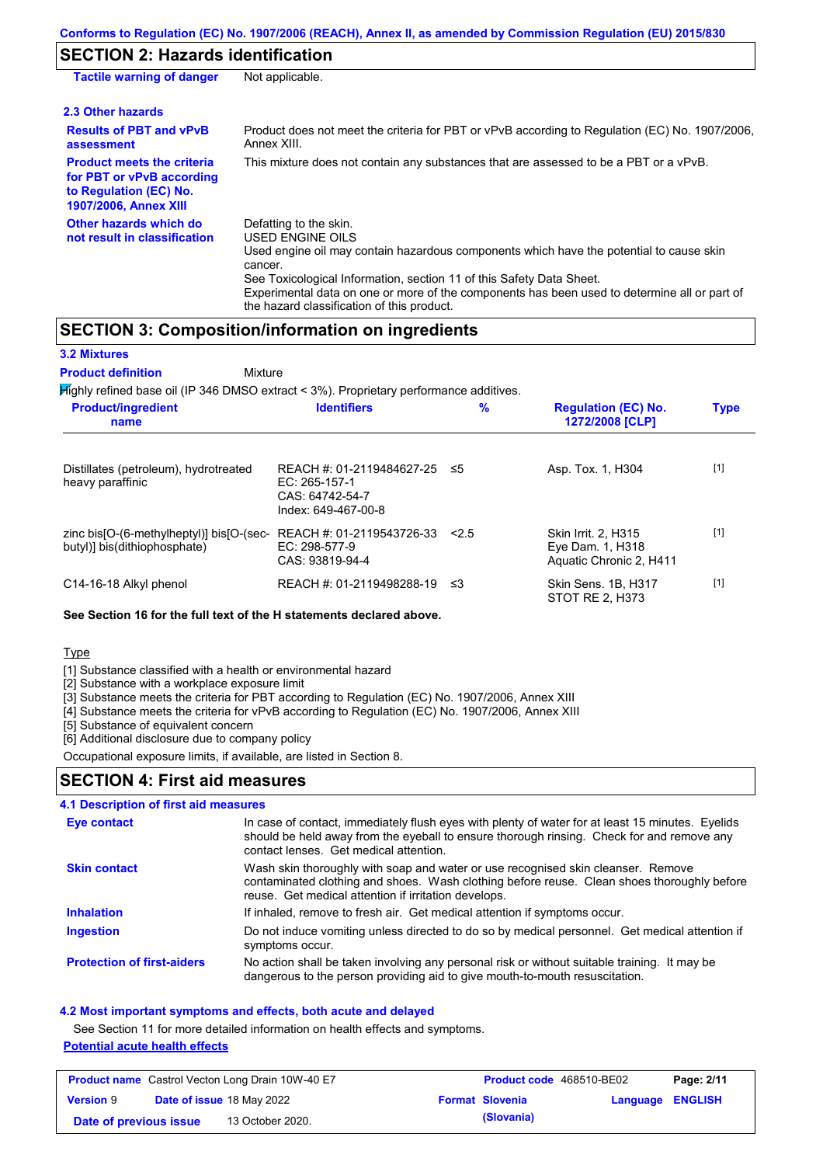# **SECTION 2: Hazards identification**

| <b>Tactile warning of danger</b>                                                                                         | Not applicable.                                                                                                                                                                                                                                                                                                                                                        |
|--------------------------------------------------------------------------------------------------------------------------|------------------------------------------------------------------------------------------------------------------------------------------------------------------------------------------------------------------------------------------------------------------------------------------------------------------------------------------------------------------------|
| 2.3 Other hazards                                                                                                        |                                                                                                                                                                                                                                                                                                                                                                        |
| <b>Results of PBT and vPvB</b><br>assessment                                                                             | Product does not meet the criteria for PBT or vPvB according to Regulation (EC) No. 1907/2006.<br>Annex XIII.                                                                                                                                                                                                                                                          |
| <b>Product meets the criteria</b><br>for PBT or vPvB according<br>to Regulation (EC) No.<br><b>1907/2006, Annex XIII</b> | This mixture does not contain any substances that are assessed to be a PBT or a vPvB.                                                                                                                                                                                                                                                                                  |
| Other hazards which do<br>not result in classification                                                                   | Defatting to the skin.<br>USED ENGINE OILS<br>Used engine oil may contain hazardous components which have the potential to cause skin<br>cancer.<br>See Toxicological Information, section 11 of this Safety Data Sheet.<br>Experimental data on one or more of the components has been used to determine all or part of<br>the hazard classification of this product. |

## **SECTION 3: Composition/information on ingredients**

**3.2 Mixtures**

**Product definition**

Mixture

 $H$ ighly refined base oil (IP 346 DMSO extract < 3%). Proprietary performance additives

| <b>Product/ingredient</b><br>name                                        | <b>Identifiers</b>                                                                        | %     | <b>Regulation (EC) No.</b><br>1272/2008 [CLP]                      | <b>Type</b> |  |
|--------------------------------------------------------------------------|-------------------------------------------------------------------------------------------|-------|--------------------------------------------------------------------|-------------|--|
| Distillates (petroleum), hydrotreated<br>heavy paraffinic                | REACH #: 01-2119484627-25 ≤5<br>$EC: 265-157-1$<br>CAS: 64742-54-7<br>Index: 649-467-00-8 |       | Asp. Tox. 1, H304                                                  | $[1]$       |  |
| zinc bis[O-(6-methylheptyl)] bis[O-(sec-<br>butyl)] bis(dithiophosphate) | REACH #: 01-2119543726-33<br>EC: 298-577-9<br>CAS: 93819-94-4                             | < 2.5 | Skin Irrit. 2, H315<br>Eye Dam. 1, H318<br>Aquatic Chronic 2, H411 | $[1]$       |  |
| C14-16-18 Alkyl phenol                                                   | REACH #: 01-2119498288-19 ≤3                                                              |       | Skin Sens. 1B. H317<br>STOT RE 2. H373                             | $[1]$       |  |

### **See Section 16 for the full text of the H statements declared above.**

**Type** 

[1] Substance classified with a health or environmental hazard

[2] Substance with a workplace exposure limit

[3] Substance meets the criteria for PBT according to Regulation (EC) No. 1907/2006, Annex XIII

[4] Substance meets the criteria for vPvB according to Regulation (EC) No. 1907/2006, Annex XIII

[5] Substance of equivalent concern

[6] Additional disclosure due to company policy

Occupational exposure limits, if available, are listed in Section 8.

### **SECTION 4: First aid measures**

| <b>4.1 Description of first aid measures</b> |                                                                                                                                                                                                                                         |
|----------------------------------------------|-----------------------------------------------------------------------------------------------------------------------------------------------------------------------------------------------------------------------------------------|
| Eye contact                                  | In case of contact, immediately flush eyes with plenty of water for at least 15 minutes. Eyelids<br>should be held away from the eyeball to ensure thorough rinsing. Check for and remove any<br>contact lenses. Get medical attention. |
| <b>Skin contact</b>                          | Wash skin thoroughly with soap and water or use recognised skin cleanser. Remove<br>contaminated clothing and shoes. Wash clothing before reuse. Clean shoes thoroughly before<br>reuse. Get medical attention if irritation develops.  |
| <b>Inhalation</b>                            | If inhaled, remove to fresh air. Get medical attention if symptoms occur.                                                                                                                                                               |
| <b>Ingestion</b>                             | Do not induce vomiting unless directed to do so by medical personnel. Get medical attention if<br>symptoms occur.                                                                                                                       |
| <b>Protection of first-aiders</b>            | No action shall be taken involving any personal risk or without suitable training. It may be<br>dangerous to the person providing aid to give mouth-to-mouth resuscitation.                                                             |

### **4.2 Most important symptoms and effects, both acute and delayed**

See Section 11 for more detailed information on health effects and symptoms.

### **Potential acute health effects**

| <b>Product name</b> Castrol Vecton Long Drain 10W-40 E7 |  |                                  | Product code 468510-BE02 |                        | Page: 2/11              |  |
|---------------------------------------------------------|--|----------------------------------|--------------------------|------------------------|-------------------------|--|
| <b>Version 9</b>                                        |  | <b>Date of issue 18 May 2022</b> |                          | <b>Format Slovenia</b> | <b>Language ENGLISH</b> |  |
| Date of previous issue                                  |  | 13 October 2020.                 |                          | (Slovania)             |                         |  |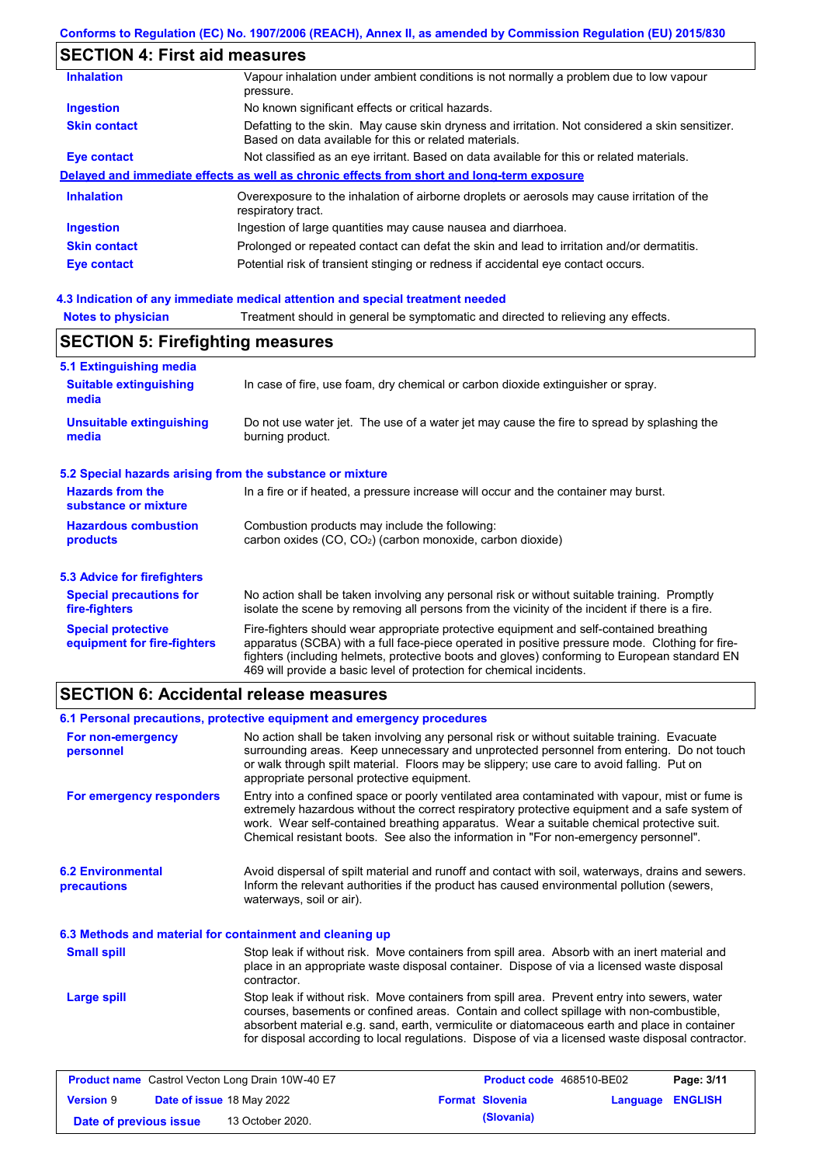# **SECTION 4: First aid measures**

| <b>Inhalation</b>   | Vapour inhalation under ambient conditions is not normally a problem due to low vapour<br>pressure.                                                       |
|---------------------|-----------------------------------------------------------------------------------------------------------------------------------------------------------|
| <b>Ingestion</b>    | No known significant effects or critical hazards.                                                                                                         |
| <b>Skin contact</b> | Defatting to the skin. May cause skin dryness and irritation. Not considered a skin sensitizer.<br>Based on data available for this or related materials. |
| Eye contact         | Not classified as an eye irritant. Based on data available for this or related materials.                                                                 |
|                     | Delayed and immediate effects as well as chronic effects from short and long-term exposure                                                                |
| <b>Inhalation</b>   | Overexposure to the inhalation of airborne droplets or aerosols may cause irritation of the<br>respiratory tract.                                         |
| <b>Ingestion</b>    | Ingestion of large quantities may cause nausea and diarrhoea.                                                                                             |
| <b>Skin contact</b> | Prolonged or repeated contact can defat the skin and lead to irritation and/or dermatitis.                                                                |
| Eye contact         | Potential risk of transient stinging or redness if accidental eye contact occurs.                                                                         |
|                     |                                                                                                                                                           |

### **4.3 Indication of any immediate medical attention and special treatment needed**

| <b>Notes to physician</b>                                 | Treatment should in general be symptomatic and directed to relieving any effects.                                                                                                                                                                                                                                                                                 |  |  |  |  |  |
|-----------------------------------------------------------|-------------------------------------------------------------------------------------------------------------------------------------------------------------------------------------------------------------------------------------------------------------------------------------------------------------------------------------------------------------------|--|--|--|--|--|
|                                                           | <b>SECTION 5: Firefighting measures</b>                                                                                                                                                                                                                                                                                                                           |  |  |  |  |  |
| 5.1 Extinguishing media                                   |                                                                                                                                                                                                                                                                                                                                                                   |  |  |  |  |  |
| <b>Suitable extinguishing</b><br>media                    | In case of fire, use foam, dry chemical or carbon dioxide extinguisher or spray.                                                                                                                                                                                                                                                                                  |  |  |  |  |  |
| <b>Unsuitable extinguishing</b><br>media                  | Do not use water jet. The use of a water jet may cause the fire to spread by splashing the<br>burning product.                                                                                                                                                                                                                                                    |  |  |  |  |  |
| 5.2 Special hazards arising from the substance or mixture |                                                                                                                                                                                                                                                                                                                                                                   |  |  |  |  |  |
| <b>Hazards from the</b><br>substance or mixture           | In a fire or if heated, a pressure increase will occur and the container may burst.                                                                                                                                                                                                                                                                               |  |  |  |  |  |
| <b>Hazardous combustion</b><br>products                   | Combustion products may include the following:<br>carbon oxides $(CO, CO2)$ (carbon monoxide, carbon dioxide)                                                                                                                                                                                                                                                     |  |  |  |  |  |
| 5.3 Advice for firefighters                               |                                                                                                                                                                                                                                                                                                                                                                   |  |  |  |  |  |
| <b>Special precautions for</b><br>fire-fighters           | No action shall be taken involving any personal risk or without suitable training. Promptly<br>isolate the scene by removing all persons from the vicinity of the incident if there is a fire.                                                                                                                                                                    |  |  |  |  |  |
| <b>Special protective</b><br>equipment for fire-fighters  | Fire-fighters should wear appropriate protective equipment and self-contained breathing<br>apparatus (SCBA) with a full face-piece operated in positive pressure mode. Clothing for fire-<br>fighters (including helmets, protective boots and gloves) conforming to European standard EN<br>469 will provide a basic level of protection for chemical incidents. |  |  |  |  |  |

# **SECTION 6: Accidental release measures**

|                                                          | 6.1 Personal precautions, protective equipment and emergency procedures                                                                                                                                                                                                                                                                                                                        |  |  |  |  |
|----------------------------------------------------------|------------------------------------------------------------------------------------------------------------------------------------------------------------------------------------------------------------------------------------------------------------------------------------------------------------------------------------------------------------------------------------------------|--|--|--|--|
| For non-emergency<br>personnel                           | No action shall be taken involving any personal risk or without suitable training. Evacuate<br>surrounding areas. Keep unnecessary and unprotected personnel from entering. Do not touch<br>or walk through spilt material. Floors may be slippery; use care to avoid falling. Put on<br>appropriate personal protective equipment.                                                            |  |  |  |  |
| For emergency responders                                 | Entry into a confined space or poorly ventilated area contaminated with vapour, mist or fume is<br>extremely hazardous without the correct respiratory protective equipment and a safe system of<br>work. Wear self-contained breathing apparatus. Wear a suitable chemical protective suit.<br>Chemical resistant boots. See also the information in "For non-emergency personnel".           |  |  |  |  |
| <b>6.2 Environmental</b><br>precautions                  | Avoid dispersal of spilt material and runoff and contact with soil, waterways, drains and sewers.<br>Inform the relevant authorities if the product has caused environmental pollution (sewers,<br>waterways, soil or air).                                                                                                                                                                    |  |  |  |  |
| 6.3 Methods and material for containment and cleaning up |                                                                                                                                                                                                                                                                                                                                                                                                |  |  |  |  |
| <b>Small spill</b>                                       | Stop leak if without risk. Move containers from spill area. Absorb with an inert material and<br>place in an appropriate waste disposal container. Dispose of via a licensed waste disposal<br>contractor.                                                                                                                                                                                     |  |  |  |  |
| <b>Large spill</b>                                       | Stop leak if without risk. Move containers from spill area. Prevent entry into sewers, water<br>courses, basements or confined areas. Contain and collect spillage with non-combustible,<br>absorbent material e.g. sand, earth, vermiculite or diatomaceous earth and place in container<br>for disposal according to local regulations. Dispose of via a licensed waste disposal contractor. |  |  |  |  |

| <b>Product name</b> Castrol Vecton Long Drain 10W-40 E7 |  | Product code 468510-BE02         |  | Page: 3/11             |                         |  |
|---------------------------------------------------------|--|----------------------------------|--|------------------------|-------------------------|--|
| <b>Version 9</b>                                        |  | <b>Date of issue 18 May 2022</b> |  | <b>Format Slovenia</b> | <b>Language ENGLISH</b> |  |
| Date of previous issue                                  |  | 13 October 2020.                 |  | (Slovania)             |                         |  |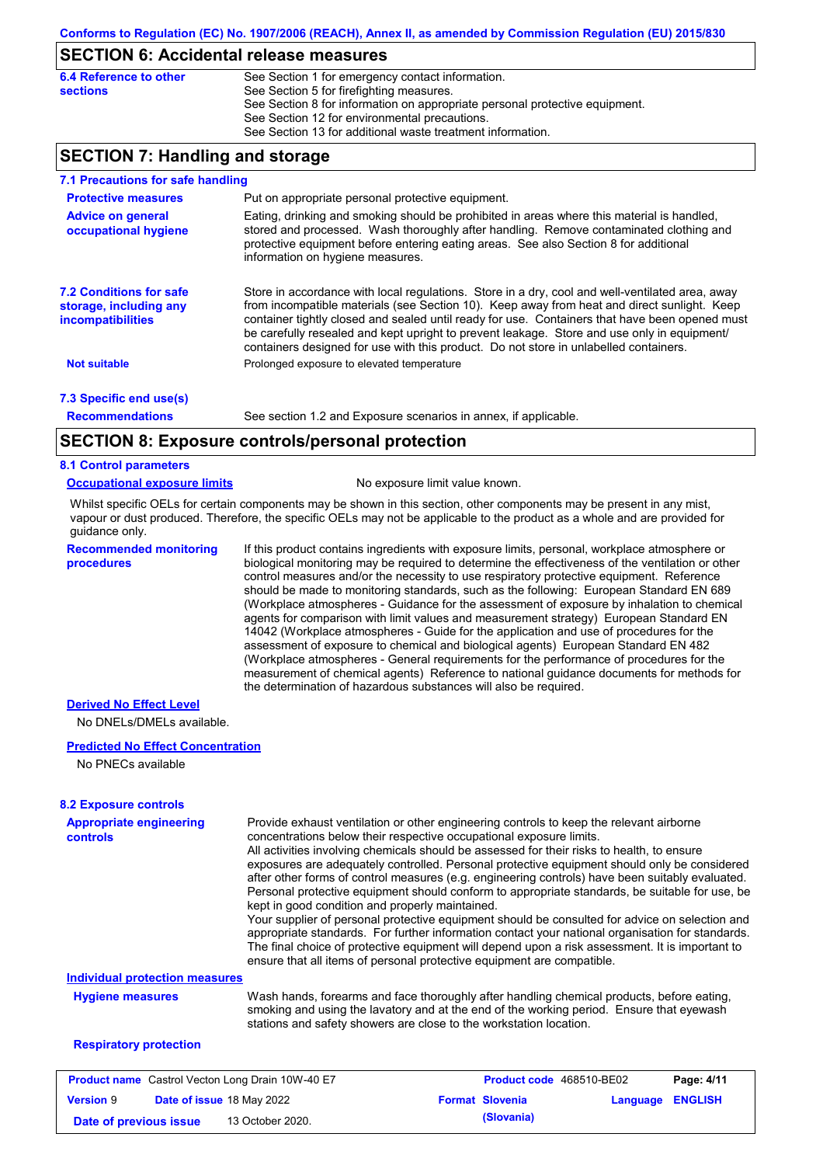### **SECTION 6: Accidental release measures**

| 6.4 Reference to other | See Section 1 for emergency contact information.                            |
|------------------------|-----------------------------------------------------------------------------|
| sections               | See Section 5 for firefighting measures.                                    |
|                        | See Section 8 for information on appropriate personal protective equipment. |
|                        | See Section 12 for environmental precautions.                               |
|                        | See Section 13 for additional waste treatment information.                  |

## **SECTION 7: Handling and storage**

| 7.1 Precautions for safe handling                                                    |                                                                                                                                                                                                                                                                                                                                                                                                                                                                                          |  |  |  |  |  |  |
|--------------------------------------------------------------------------------------|------------------------------------------------------------------------------------------------------------------------------------------------------------------------------------------------------------------------------------------------------------------------------------------------------------------------------------------------------------------------------------------------------------------------------------------------------------------------------------------|--|--|--|--|--|--|
| <b>Protective measures</b>                                                           | Put on appropriate personal protective equipment.                                                                                                                                                                                                                                                                                                                                                                                                                                        |  |  |  |  |  |  |
| <b>Advice on general</b><br>occupational hygiene                                     | Eating, drinking and smoking should be prohibited in areas where this material is handled,<br>stored and processed. Wash thoroughly after handling. Remove contaminated clothing and<br>protective equipment before entering eating areas. See also Section 8 for additional<br>information on hygiene measures.                                                                                                                                                                         |  |  |  |  |  |  |
| <b>7.2 Conditions for safe</b><br>storage, including any<br><i>incompatibilities</i> | Store in accordance with local regulations. Store in a dry, cool and well-ventilated area, away<br>from incompatible materials (see Section 10). Keep away from heat and direct sunlight. Keep<br>container tightly closed and sealed until ready for use. Containers that have been opened must<br>be carefully resealed and kept upright to prevent leakage. Store and use only in equipment/<br>containers designed for use with this product. Do not store in unlabelled containers. |  |  |  |  |  |  |
| <b>Not suitable</b>                                                                  | Prolonged exposure to elevated temperature                                                                                                                                                                                                                                                                                                                                                                                                                                               |  |  |  |  |  |  |
| 7.3 Specific end use(s)                                                              |                                                                                                                                                                                                                                                                                                                                                                                                                                                                                          |  |  |  |  |  |  |
| <b>Recommendations</b>                                                               | See section 1.2 and Exposure scenarios in annex, if applicable.                                                                                                                                                                                                                                                                                                                                                                                                                          |  |  |  |  |  |  |
|                                                                                      | SECTION 8: Exposure controls/personal protection                                                                                                                                                                                                                                                                                                                                                                                                                                         |  |  |  |  |  |  |

### **SECTION 8: Exposure controls/personal protection**

#### **8.1 Control parameters**

#### **Occupational exposure limits** No exposure limit value known.

Whilst specific OELs for certain components may be shown in this section, other components may be present in any mist, vapour or dust produced. Therefore, the specific OELs may not be applicable to the product as a whole and are provided for guidance only.

**Recommended monitoring procedures**

If this product contains ingredients with exposure limits, personal, workplace atmosphere or biological monitoring may be required to determine the effectiveness of the ventilation or other control measures and/or the necessity to use respiratory protective equipment. Reference should be made to monitoring standards, such as the following: European Standard EN 689 (Workplace atmospheres - Guidance for the assessment of exposure by inhalation to chemical agents for comparison with limit values and measurement strategy) European Standard EN 14042 (Workplace atmospheres - Guide for the application and use of procedures for the assessment of exposure to chemical and biological agents) European Standard EN 482 (Workplace atmospheres - General requirements for the performance of procedures for the measurement of chemical agents) Reference to national guidance documents for methods for the determination of hazardous substances will also be required.

### **Derived No Effect Level**

No DNELs/DMELs available.

#### **Predicted No Effect Concentration**

No PNECs available

| <b>Appropriate engineering</b><br><b>controls</b>       | Provide exhaust ventilation or other engineering controls to keep the relevant airborne<br>concentrations below their respective occupational exposure limits.<br>All activities involving chemicals should be assessed for their risks to health, to ensure<br>exposures are adequately controlled. Personal protective equipment should only be considered<br>after other forms of control measures (e.g. engineering controls) have been suitably evaluated.<br>Personal protective equipment should conform to appropriate standards, be suitable for use, be<br>kept in good condition and properly maintained.<br>Your supplier of personal protective equipment should be consulted for advice on selection and<br>appropriate standards. For further information contact your national organisation for standards.<br>The final choice of protective equipment will depend upon a risk assessment. It is important to<br>ensure that all items of personal protective equipment are compatible. |  |                                 |          |                |
|---------------------------------------------------------|---------------------------------------------------------------------------------------------------------------------------------------------------------------------------------------------------------------------------------------------------------------------------------------------------------------------------------------------------------------------------------------------------------------------------------------------------------------------------------------------------------------------------------------------------------------------------------------------------------------------------------------------------------------------------------------------------------------------------------------------------------------------------------------------------------------------------------------------------------------------------------------------------------------------------------------------------------------------------------------------------------|--|---------------------------------|----------|----------------|
| <b>Individual protection measures</b>                   |                                                                                                                                                                                                                                                                                                                                                                                                                                                                                                                                                                                                                                                                                                                                                                                                                                                                                                                                                                                                         |  |                                 |          |                |
| <b>Hygiene measures</b>                                 | Wash hands, forearms and face thoroughly after handling chemical products, before eating,<br>smoking and using the lavatory and at the end of the working period. Ensure that eyewash<br>stations and safety showers are close to the workstation location.                                                                                                                                                                                                                                                                                                                                                                                                                                                                                                                                                                                                                                                                                                                                             |  |                                 |          |                |
| <b>Respiratory protection</b>                           |                                                                                                                                                                                                                                                                                                                                                                                                                                                                                                                                                                                                                                                                                                                                                                                                                                                                                                                                                                                                         |  |                                 |          |                |
| <b>Product name</b> Castrol Vecton Long Drain 10W-40 E7 |                                                                                                                                                                                                                                                                                                                                                                                                                                                                                                                                                                                                                                                                                                                                                                                                                                                                                                                                                                                                         |  | <b>Product code</b> 468510-BE02 |          | Page: 4/11     |
| <b>Version 9</b><br>Date of issue 18 May 2022           |                                                                                                                                                                                                                                                                                                                                                                                                                                                                                                                                                                                                                                                                                                                                                                                                                                                                                                                                                                                                         |  | <b>Format Slovenia</b>          | Language | <b>ENGLISH</b> |

**Date of previous issue (Slovania)** 13 October 2020.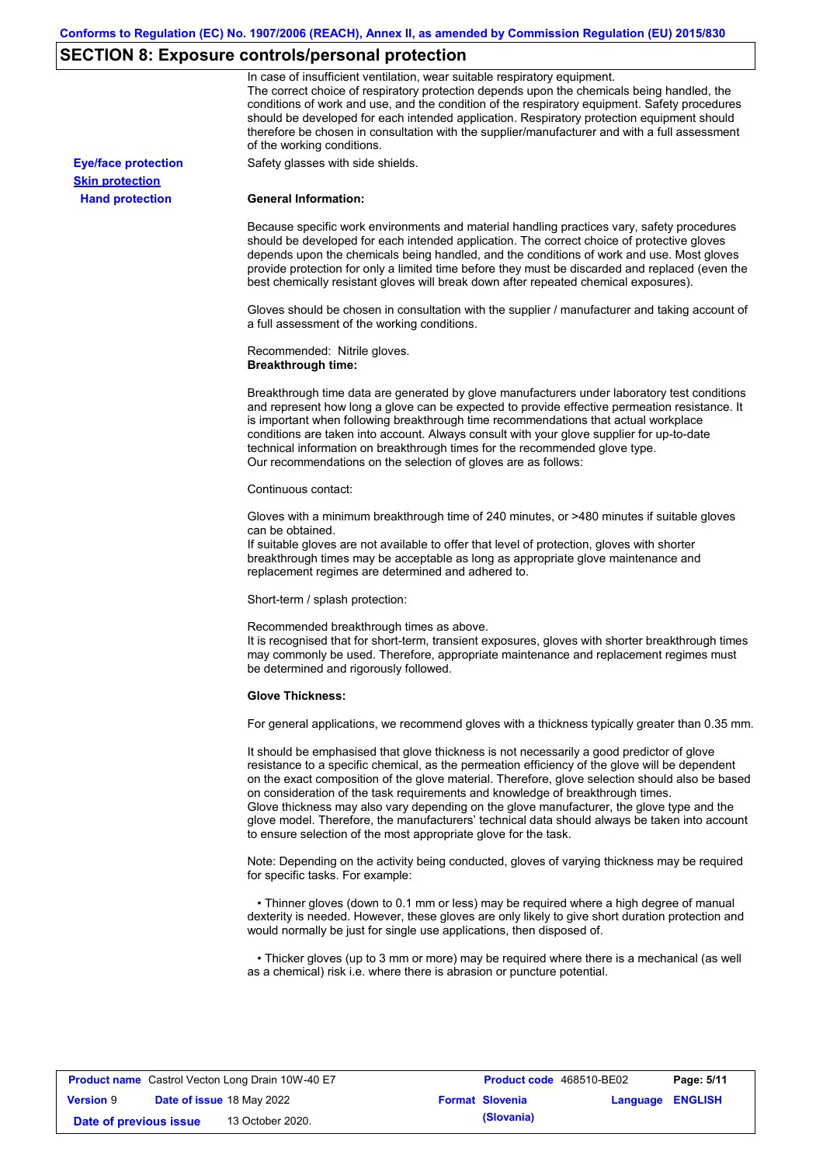# **SECTION 8: Exposure controls/personal protection**

|                            | In case of insufficient ventilation, wear suitable respiratory equipment.<br>The correct choice of respiratory protection depends upon the chemicals being handled, the<br>conditions of work and use, and the condition of the respiratory equipment. Safety procedures<br>should be developed for each intended application. Respiratory protection equipment should<br>therefore be chosen in consultation with the supplier/manufacturer and with a full assessment<br>of the working conditions.                                                                                                                                             |
|----------------------------|---------------------------------------------------------------------------------------------------------------------------------------------------------------------------------------------------------------------------------------------------------------------------------------------------------------------------------------------------------------------------------------------------------------------------------------------------------------------------------------------------------------------------------------------------------------------------------------------------------------------------------------------------|
| <b>Eye/face protection</b> | Safety glasses with side shields.                                                                                                                                                                                                                                                                                                                                                                                                                                                                                                                                                                                                                 |
| <b>Skin protection</b>     |                                                                                                                                                                                                                                                                                                                                                                                                                                                                                                                                                                                                                                                   |
| <b>Hand protection</b>     | <b>General Information:</b>                                                                                                                                                                                                                                                                                                                                                                                                                                                                                                                                                                                                                       |
|                            | Because specific work environments and material handling practices vary, safety procedures<br>should be developed for each intended application. The correct choice of protective gloves<br>depends upon the chemicals being handled, and the conditions of work and use. Most gloves<br>provide protection for only a limited time before they must be discarded and replaced (even the<br>best chemically resistant gloves will break down after repeated chemical exposures).                                                                                                                                                                  |
|                            | Gloves should be chosen in consultation with the supplier / manufacturer and taking account of<br>a full assessment of the working conditions.                                                                                                                                                                                                                                                                                                                                                                                                                                                                                                    |
|                            | Recommended: Nitrile gloves.<br><b>Breakthrough time:</b>                                                                                                                                                                                                                                                                                                                                                                                                                                                                                                                                                                                         |
|                            | Breakthrough time data are generated by glove manufacturers under laboratory test conditions<br>and represent how long a glove can be expected to provide effective permeation resistance. It<br>is important when following breakthrough time recommendations that actual workplace<br>conditions are taken into account. Always consult with your glove supplier for up-to-date<br>technical information on breakthrough times for the recommended glove type.<br>Our recommendations on the selection of gloves are as follows:                                                                                                                |
|                            | Continuous contact:                                                                                                                                                                                                                                                                                                                                                                                                                                                                                                                                                                                                                               |
|                            | Gloves with a minimum breakthrough time of 240 minutes, or >480 minutes if suitable gloves<br>can be obtained.<br>If suitable gloves are not available to offer that level of protection, gloves with shorter<br>breakthrough times may be acceptable as long as appropriate glove maintenance and<br>replacement regimes are determined and adhered to.                                                                                                                                                                                                                                                                                          |
|                            | Short-term / splash protection:                                                                                                                                                                                                                                                                                                                                                                                                                                                                                                                                                                                                                   |
|                            | Recommended breakthrough times as above.<br>It is recognised that for short-term, transient exposures, gloves with shorter breakthrough times<br>may commonly be used. Therefore, appropriate maintenance and replacement regimes must<br>be determined and rigorously followed.                                                                                                                                                                                                                                                                                                                                                                  |
|                            | <b>Glove Thickness:</b>                                                                                                                                                                                                                                                                                                                                                                                                                                                                                                                                                                                                                           |
|                            | For general applications, we recommend gloves with a thickness typically greater than 0.35 mm.                                                                                                                                                                                                                                                                                                                                                                                                                                                                                                                                                    |
|                            | It should be emphasised that glove thickness is not necessarily a good predictor of glove<br>resistance to a specific chemical, as the permeation efficiency of the glove will be dependent<br>on the exact composition of the glove material. Therefore, glove selection should also be based<br>on consideration of the task requirements and knowledge of breakthrough times.<br>Glove thickness may also vary depending on the glove manufacturer, the glove type and the<br>glove model. Therefore, the manufacturers' technical data should always be taken into account<br>to ensure selection of the most appropriate glove for the task. |
|                            | Note: Depending on the activity being conducted, gloves of varying thickness may be required<br>for specific tasks. For example:                                                                                                                                                                                                                                                                                                                                                                                                                                                                                                                  |
|                            | • Thinner gloves (down to 0.1 mm or less) may be required where a high degree of manual<br>dexterity is needed. However, these gloves are only likely to give short duration protection and<br>would normally be just for single use applications, then disposed of.                                                                                                                                                                                                                                                                                                                                                                              |
|                            | • Thicker gloves (up to 3 mm or more) may be required where there is a mechanical (as well<br>as a chemical) risk i.e. where there is abrasion or puncture potential.                                                                                                                                                                                                                                                                                                                                                                                                                                                                             |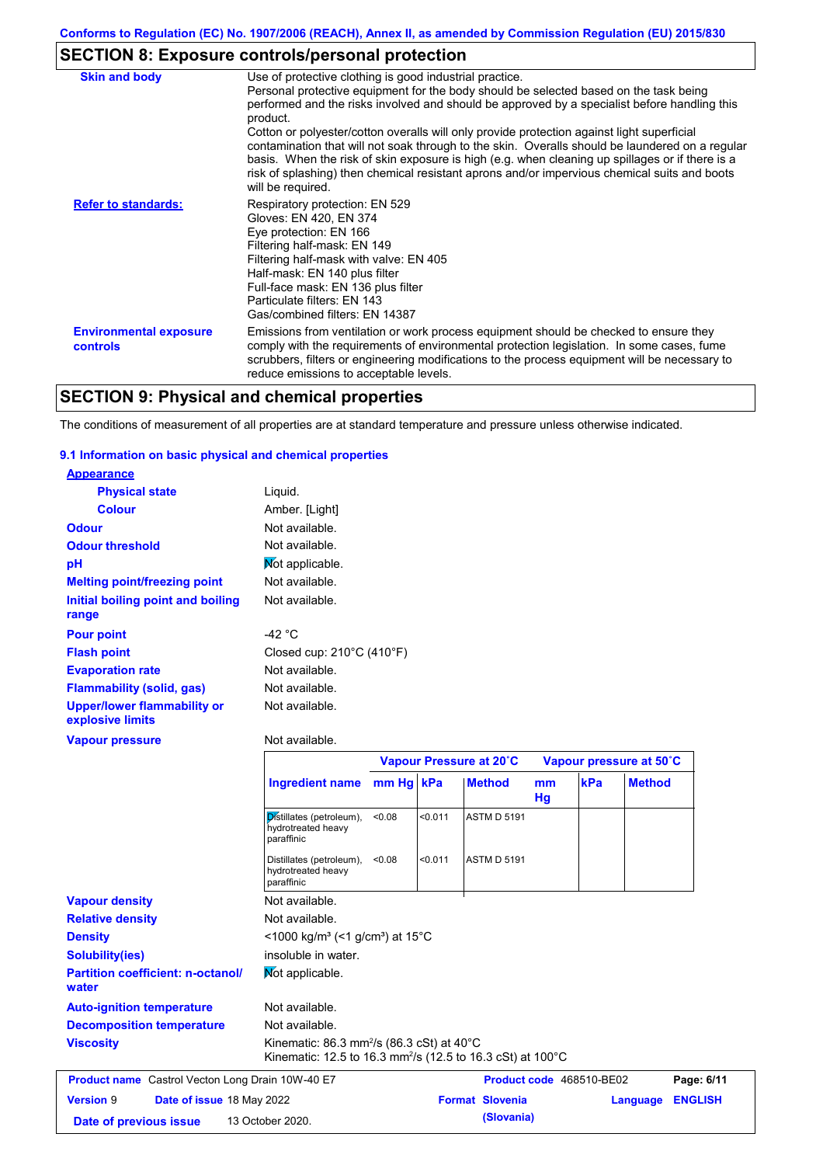# **SECTION 8: Exposure controls/personal protection**

| <b>Skin and body</b>                             | Use of protective clothing is good industrial practice.<br>Personal protective equipment for the body should be selected based on the task being<br>performed and the risks involved and should be approved by a specialist before handling this<br>product.<br>Cotton or polyester/cotton overalls will only provide protection against light superficial<br>contamination that will not soak through to the skin. Overalls should be laundered on a regular<br>basis. When the risk of skin exposure is high (e.g. when cleaning up spillages or if there is a |
|--------------------------------------------------|------------------------------------------------------------------------------------------------------------------------------------------------------------------------------------------------------------------------------------------------------------------------------------------------------------------------------------------------------------------------------------------------------------------------------------------------------------------------------------------------------------------------------------------------------------------|
| <b>Refer to standards:</b>                       | risk of splashing) then chemical resistant aprons and/or impervious chemical suits and boots<br>will be required.<br>Respiratory protection: EN 529<br>Gloves: EN 420, EN 374<br>Eye protection: EN 166<br>Filtering half-mask: EN 149<br>Filtering half-mask with valve: EN 405<br>Half-mask: EN 140 plus filter                                                                                                                                                                                                                                                |
|                                                  | Full-face mask: EN 136 plus filter<br>Particulate filters: EN 143<br>Gas/combined filters: EN 14387                                                                                                                                                                                                                                                                                                                                                                                                                                                              |
| <b>Environmental exposure</b><br><b>controls</b> | Emissions from ventilation or work process equipment should be checked to ensure they<br>comply with the requirements of environmental protection legislation. In some cases, fume<br>scrubbers, filters or engineering modifications to the process equipment will be necessary to<br>reduce emissions to acceptable levels.                                                                                                                                                                                                                                    |

# **SECTION 9: Physical and chemical properties**

The conditions of measurement of all properties are at standard temperature and pressure unless otherwise indicated.

### **9.1 Information on basic physical and chemical properties**

| <b>Appearance</b>                                      |                                                |
|--------------------------------------------------------|------------------------------------------------|
| <b>Physical state</b>                                  | Liquid.                                        |
| <b>Colour</b>                                          | Amber. [Light]                                 |
| <b>Odour</b>                                           | Not available.                                 |
| <b>Odour threshold</b>                                 | Not available.                                 |
| рH                                                     | Not applicable.                                |
| <b>Melting point/freezing point</b>                    | Not available.                                 |
| Initial boiling point and boiling                      | Not available.                                 |
| range                                                  |                                                |
| <b>Pour point</b>                                      | -42 °C                                         |
| <b>Flash point</b>                                     | Closed cup: $210^{\circ}$ C (410 $^{\circ}$ F) |
| <b>Evaporation rate</b>                                | Not available.                                 |
| <b>Flammability (solid, gas)</b>                       | Not available.                                 |
| <b>Upper/lower flammability or</b><br>explosive limits | Not available.                                 |
| <b>Vapour pressure</b>                                 | Not available.                                 |

|                                                         |                                                                                                                                                 | Vapour Pressure at 20°C |         |                        |          |                          | Vapour pressure at 50°C |                |  |
|---------------------------------------------------------|-------------------------------------------------------------------------------------------------------------------------------------------------|-------------------------|---------|------------------------|----------|--------------------------|-------------------------|----------------|--|
|                                                         | Ingredient name mm Hg kPa                                                                                                                       |                         |         | <b>Method</b>          | mm<br>Hg | kPa                      | <b>Method</b>           |                |  |
|                                                         | Distillates (petroleum),<br>hydrotreated heavy<br>paraffinic                                                                                    | < 0.08                  | < 0.011 | <b>ASTM D 5191</b>     |          |                          |                         |                |  |
|                                                         | Distillates (petroleum),<br>hydrotreated heavy<br>paraffinic                                                                                    | < 0.08                  | < 0.011 | <b>ASTM D 5191</b>     |          |                          |                         |                |  |
| <b>Vapour density</b>                                   | Not available.                                                                                                                                  |                         |         |                        |          |                          |                         |                |  |
| <b>Relative density</b>                                 | Not available.                                                                                                                                  |                         |         |                        |          |                          |                         |                |  |
| <b>Density</b>                                          | <1000 kg/m <sup>3</sup> (<1 g/cm <sup>3</sup> ) at 15°C                                                                                         |                         |         |                        |          |                          |                         |                |  |
| <b>Solubility(ies)</b>                                  | insoluble in water.                                                                                                                             |                         |         |                        |          |                          |                         |                |  |
| <b>Partition coefficient: n-octanol/</b><br>water       | Mot applicable.                                                                                                                                 |                         |         |                        |          |                          |                         |                |  |
| <b>Auto-ignition temperature</b>                        | Not available.                                                                                                                                  |                         |         |                        |          |                          |                         |                |  |
| <b>Decomposition temperature</b>                        | Not available.                                                                                                                                  |                         |         |                        |          |                          |                         |                |  |
| <b>Viscosity</b>                                        | Kinematic: $86.3$ mm <sup>2</sup> /s ( $86.3$ cSt) at $40^{\circ}$ C<br>Kinematic: 12.5 to 16.3 mm <sup>2</sup> /s (12.5 to 16.3 cSt) at 100 °C |                         |         |                        |          |                          |                         |                |  |
| <b>Product name</b> Castrol Vecton Long Drain 10W-40 E7 |                                                                                                                                                 |                         |         |                        |          | Product code 468510-BE02 |                         | Page: 6/11     |  |
| <b>Version 9</b><br>Date of issue 18 May 2022           |                                                                                                                                                 |                         |         | <b>Format Slovenia</b> |          |                          | Language                | <b>ENGLISH</b> |  |
| Date of previous issue                                  | 13 October 2020.                                                                                                                                |                         |         | (Slovania)             |          |                          |                         |                |  |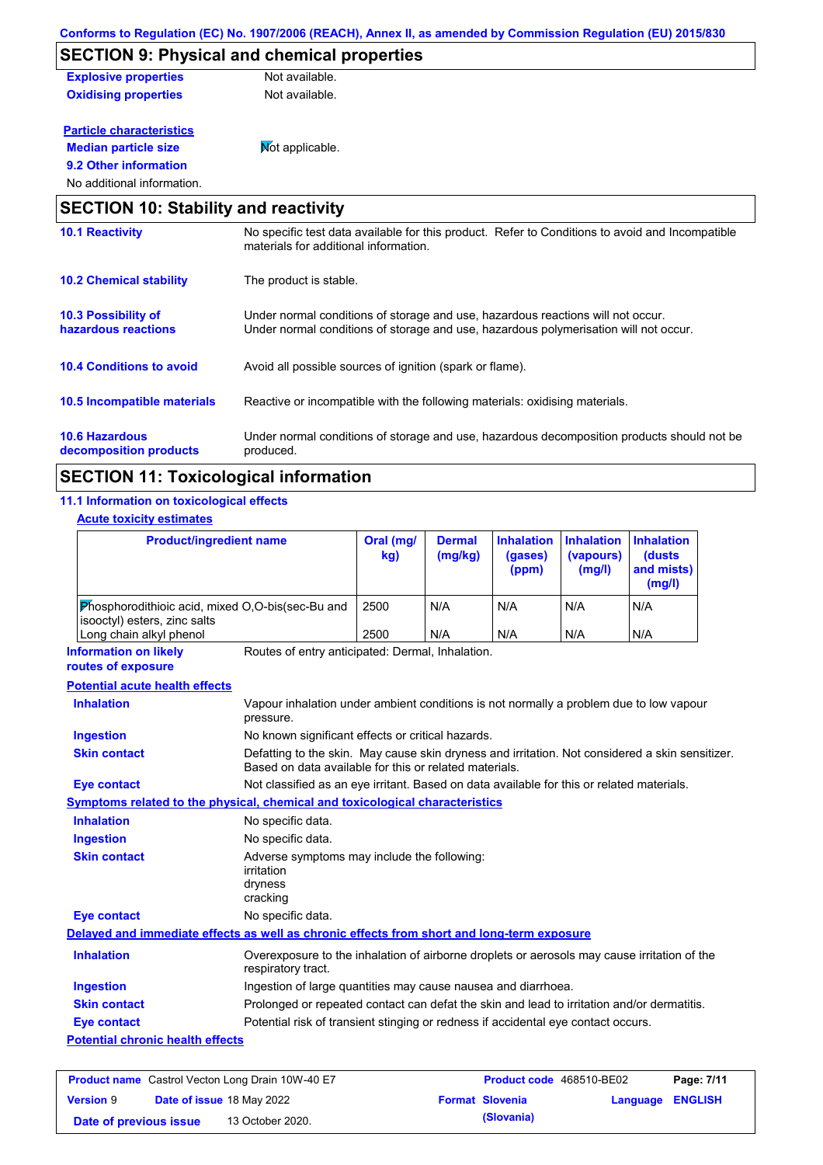|                                             | <u>CONTOMIS to Requiation (EC) NO. 1907/2000 (REACH), Annex II, as amended by Commission Requiation (EO) 2019/050</u>                                                   |
|---------------------------------------------|-------------------------------------------------------------------------------------------------------------------------------------------------------------------------|
|                                             | <b>SECTION 9: Physical and chemical properties</b>                                                                                                                      |
| <b>Explosive properties</b>                 | Not available.                                                                                                                                                          |
| <b>Oxidising properties</b>                 | Not available.                                                                                                                                                          |
| <b>Particle characteristics</b>             |                                                                                                                                                                         |
| <b>Median particle size</b>                 | Mot applicable.                                                                                                                                                         |
| 9.2 Other information                       |                                                                                                                                                                         |
| No additional information.                  |                                                                                                                                                                         |
| <b>SECTION 10: Stability and reactivity</b> |                                                                                                                                                                         |
| <b>10.1 Reactivity</b>                      | No specific test data available for this product. Refer to Conditions to avoid and Incompatible<br>materials for additional information.                                |
| <b>10.2 Chemical stability</b>              | The product is stable.                                                                                                                                                  |
| 10.3 Possibility of<br>hazardous reactions  | Under normal conditions of storage and use, hazardous reactions will not occur.<br>Under normal conditions of storage and use, hazardous polymerisation will not occur. |
| <b>10.4 Conditions to avoid</b>             | Avoid all possible sources of ignition (spark or flame).                                                                                                                |

#### **10.6 Hazardous**  Under normal conditions of storage and use, hazardous decomposition products should not be **10.5 Incompatible materials** Reactive or incompatible with the following materials: oxidising materials.

#### **decomposition products** produced.

# **SECTION 11: Toxicological information**

### **11.1 Information on toxicological effects**

**Acute toxicity estimates**

| <b>Product/ingredient name</b>                                                             |                                                                                                                                                           | Oral (mg/<br>kg) | <b>Dermal</b><br>(mg/kg) | <b>Inhalation</b><br>(gases)<br>(ppm) | <b>Inhalation</b><br>(vapours)<br>(mg/l) | <b>Inhalation</b><br>(dusts<br>and mists)<br>(mg/l) |
|--------------------------------------------------------------------------------------------|-----------------------------------------------------------------------------------------------------------------------------------------------------------|------------------|--------------------------|---------------------------------------|------------------------------------------|-----------------------------------------------------|
| Phosphorodithioic acid, mixed O,O-bis(sec-Bu and<br>isooctyl) esters, zinc salts           |                                                                                                                                                           | 2500             | N/A                      | N/A                                   | N/A                                      | N/A                                                 |
| Long chain alkyl phenol                                                                    |                                                                                                                                                           | 2500             | N/A                      | N/A                                   | N/A                                      | N/A                                                 |
| <b>Information on likely</b><br>routes of exposure                                         | Routes of entry anticipated: Dermal, Inhalation.                                                                                                          |                  |                          |                                       |                                          |                                                     |
| <b>Potential acute health effects</b>                                                      |                                                                                                                                                           |                  |                          |                                       |                                          |                                                     |
| <b>Inhalation</b>                                                                          | Vapour inhalation under ambient conditions is not normally a problem due to low vapour<br>pressure.                                                       |                  |                          |                                       |                                          |                                                     |
| <b>Ingestion</b>                                                                           | No known significant effects or critical hazards.                                                                                                         |                  |                          |                                       |                                          |                                                     |
| <b>Skin contact</b>                                                                        | Defatting to the skin. May cause skin dryness and irritation. Not considered a skin sensitizer.<br>Based on data available for this or related materials. |                  |                          |                                       |                                          |                                                     |
| <b>Eye contact</b>                                                                         | Not classified as an eye irritant. Based on data available for this or related materials.                                                                 |                  |                          |                                       |                                          |                                                     |
| Symptoms related to the physical, chemical and toxicological characteristics               |                                                                                                                                                           |                  |                          |                                       |                                          |                                                     |
| <b>Inhalation</b>                                                                          | No specific data.                                                                                                                                         |                  |                          |                                       |                                          |                                                     |
| <b>Ingestion</b>                                                                           | No specific data.                                                                                                                                         |                  |                          |                                       |                                          |                                                     |
| <b>Skin contact</b>                                                                        | Adverse symptoms may include the following:<br>irritation<br>dryness<br>cracking                                                                          |                  |                          |                                       |                                          |                                                     |
| <b>Eye contact</b>                                                                         | No specific data.                                                                                                                                         |                  |                          |                                       |                                          |                                                     |
| Delayed and immediate effects as well as chronic effects from short and long-term exposure |                                                                                                                                                           |                  |                          |                                       |                                          |                                                     |
| <b>Inhalation</b>                                                                          | Overexposure to the inhalation of airborne droplets or aerosols may cause irritation of the<br>respiratory tract.                                         |                  |                          |                                       |                                          |                                                     |
| <b>Ingestion</b>                                                                           | Ingestion of large quantities may cause nausea and diarrhoea.                                                                                             |                  |                          |                                       |                                          |                                                     |
| <b>Skin contact</b>                                                                        | Prolonged or repeated contact can defat the skin and lead to irritation and/or dermatitis.                                                                |                  |                          |                                       |                                          |                                                     |
| <b>Eye contact</b>                                                                         | Potential risk of transient stinging or redness if accidental eye contact occurs.                                                                         |                  |                          |                                       |                                          |                                                     |
| <b>Potential chronic health effects</b>                                                    |                                                                                                                                                           |                  |                          |                                       |                                          |                                                     |

### **Product name** Castrol Vecton Long Drain 10W-40 E7 **Product Code** 468510-BE02 **Page: 7/11 Version** 9 **Date of issue** 18 May 2022 **Format Slovenia Language ENGLISH Date of previous issue (Slovania)** 13 October 2020.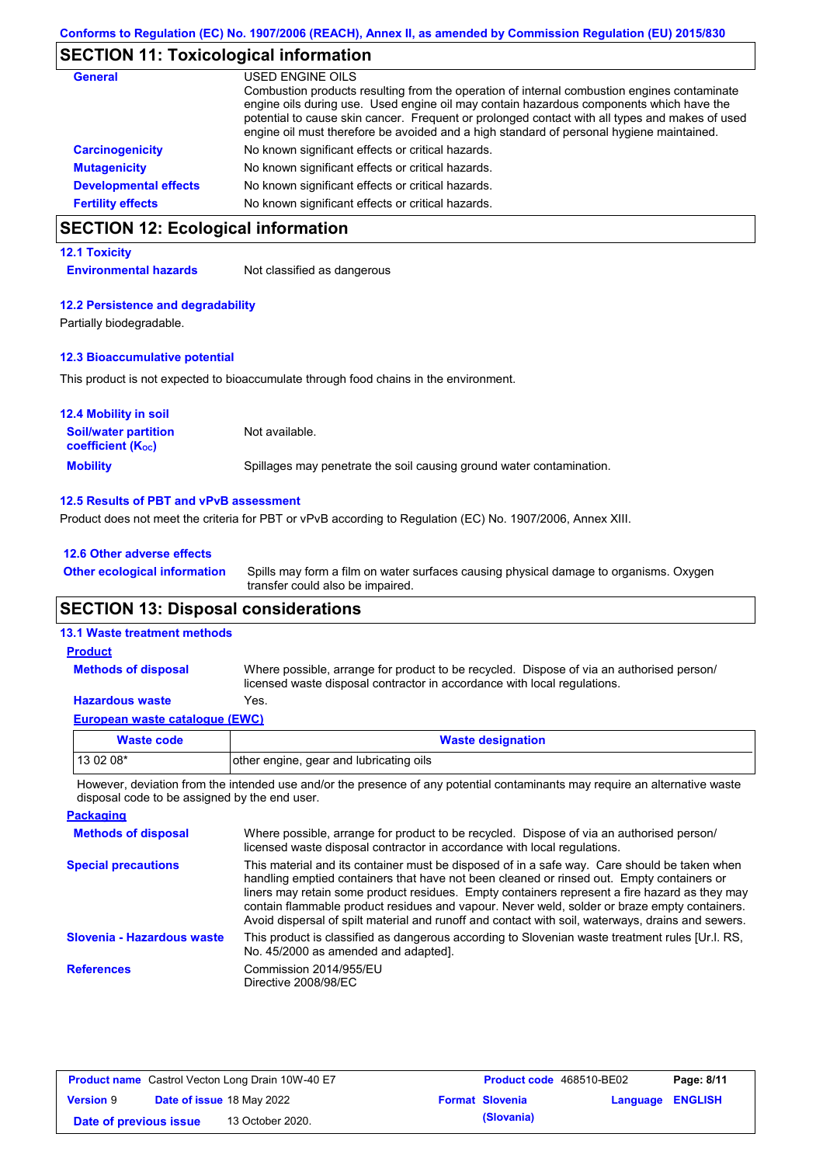# **SECTION 11: Toxicological information**

| <b>General</b>               | USED ENGINE OILS                                                                                                                                                                                                                                                                                                                                                                     |
|------------------------------|--------------------------------------------------------------------------------------------------------------------------------------------------------------------------------------------------------------------------------------------------------------------------------------------------------------------------------------------------------------------------------------|
|                              | Combustion products resulting from the operation of internal combustion engines contaminate<br>engine oils during use. Used engine oil may contain hazardous components which have the<br>potential to cause skin cancer. Frequent or prolonged contact with all types and makes of used<br>engine oil must therefore be avoided and a high standard of personal hygiene maintained. |
| <b>Carcinogenicity</b>       | No known significant effects or critical hazards.                                                                                                                                                                                                                                                                                                                                    |
| <b>Mutagenicity</b>          | No known significant effects or critical hazards.                                                                                                                                                                                                                                                                                                                                    |
| <b>Developmental effects</b> | No known significant effects or critical hazards.                                                                                                                                                                                                                                                                                                                                    |
| <b>Fertility effects</b>     | No known significant effects or critical hazards.                                                                                                                                                                                                                                                                                                                                    |

# **SECTION 12: Ecological information**

#### **12.1 Toxicity**

**Environmental hazards** Not classified as dangerous

#### **12.2 Persistence and degradability**

Partially biodegradable.

### **12.3 Bioaccumulative potential**

This product is not expected to bioaccumulate through food chains in the environment.

| <b>12.4 Mobility in soil</b>                                  |                                                                      |
|---------------------------------------------------------------|----------------------------------------------------------------------|
| <b>Soil/water partition</b><br>coefficient (K <sub>oc</sub> ) | Not available.                                                       |
| <b>Mobility</b>                                               | Spillages may penetrate the soil causing ground water contamination. |

#### **12.5 Results of PBT and vPvB assessment**

Product does not meet the criteria for PBT or vPvB according to Regulation (EC) No. 1907/2006, Annex XIII.

### **12.6 Other adverse effects Other ecological information**

Spills may form a film on water surfaces causing physical damage to organisms. Oxygen transfer could also be impaired.

### **SECTION 13: Disposal considerations**

#### **13.1 Waste treatment methods**

**Methods of disposal**

**Product**

Where possible, arrange for product to be recycled. Dispose of via an authorised person/ licensed waste disposal contractor in accordance with local regulations.

### **Hazardous waste** Yes.

| European waste catalogue (EWC) |
|--------------------------------|
|--------------------------------|

| Waste code | <b>Waste designation</b>                |
|------------|-----------------------------------------|
| 13 02 08*  | other engine, gear and lubricating oils |
|            |                                         |

However, deviation from the intended use and/or the presence of any potential contaminants may require an alternative waste disposal code to be assigned by the end user.

| Where possible, arrange for product to be recycled. Dispose of via an authorised person/<br>licensed waste disposal contractor in accordance with local regulations.                                                                                                                                                                                                                                                                                                                            |
|-------------------------------------------------------------------------------------------------------------------------------------------------------------------------------------------------------------------------------------------------------------------------------------------------------------------------------------------------------------------------------------------------------------------------------------------------------------------------------------------------|
| This material and its container must be disposed of in a safe way. Care should be taken when<br>handling emptied containers that have not been cleaned or rinsed out. Empty containers or<br>liners may retain some product residues. Empty containers represent a fire hazard as they may<br>contain flammable product residues and vapour. Never weld, solder or braze empty containers.<br>Avoid dispersal of spilt material and runoff and contact with soil, waterways, drains and sewers. |
| This product is classified as dangerous according to Slovenian waste treatment rules [Ur.l. RS.<br>No. 45/2000 as amended and adapted].                                                                                                                                                                                                                                                                                                                                                         |
| Commission 2014/955/EU<br>Directive 2008/98/EC                                                                                                                                                                                                                                                                                                                                                                                                                                                  |
|                                                                                                                                                                                                                                                                                                                                                                                                                                                                                                 |

| <b>Product name</b> Castrol Vecton Long Drain 10W-40 E7 |  |                                  | <b>Product code</b> 468510-BE02 | Page: 8/11             |                         |  |
|---------------------------------------------------------|--|----------------------------------|---------------------------------|------------------------|-------------------------|--|
| <b>Version 9</b>                                        |  | <b>Date of issue 18 May 2022</b> |                                 | <b>Format Slovenia</b> | <b>Language ENGLISH</b> |  |
| Date of previous issue                                  |  | 13 October 2020.                 |                                 | (Slovania)             |                         |  |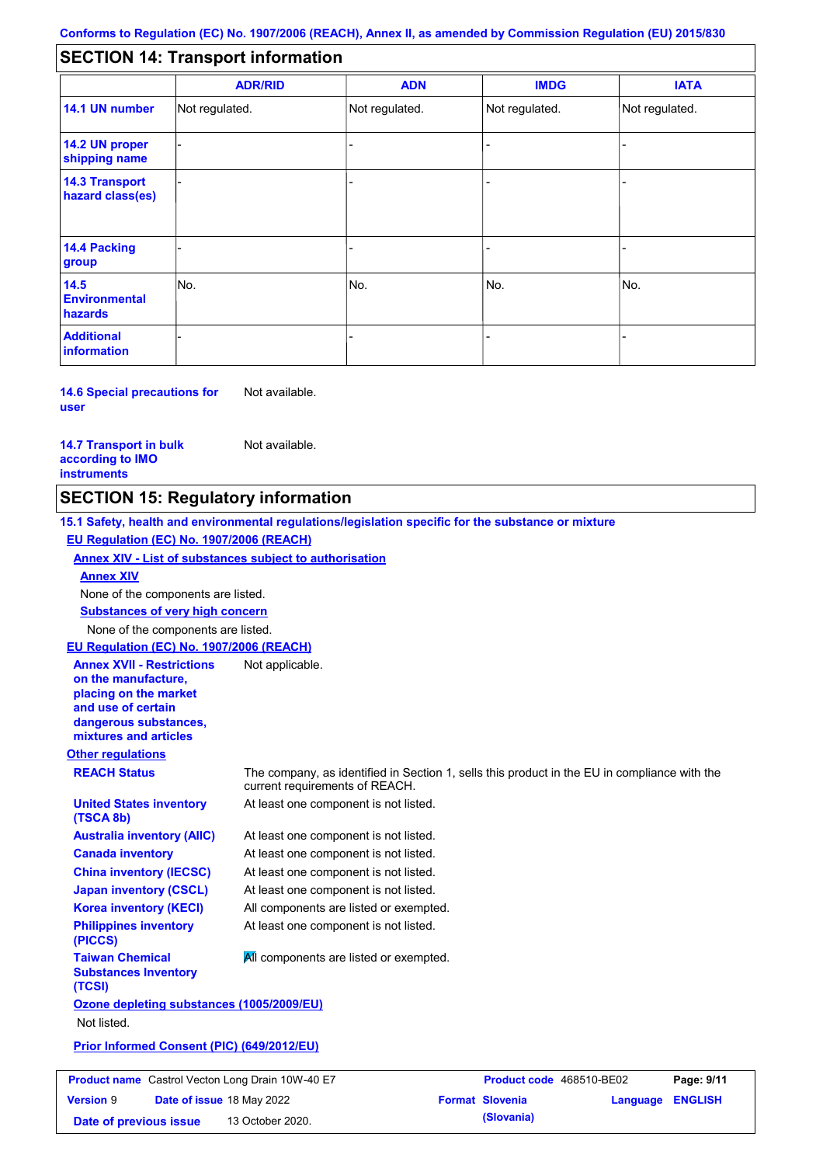#### - - - - - - - - - Not regulated. Not regulated. Not regulated. - - - **SECTION 14: Transport information ADR/RID IMDG IATA 14.1 UN number 14.2 UN proper shipping name 14.3 Transport hazard class(es) 14.4 Packing group ADN Additional information 14.5 Environmental hazards** No. 1980 | No. 1980 | No. 1980 | No. 1980 | No. 1980 | No. 1980 | No. 1980 | No. 1980 | No. 1980 | No. 1980 | Not regulated. - -<br>No. - -

**14.6 Special precautions for user** Not available.

#### **14.7 Transport in bulk according to IMO instruments**

Not available.

### **SECTION 15: Regulatory information**

**Other regulations REACH Status** The company, as identified in Section 1, sells this product in the EU in compliance with the current requirements of REACH. **15.1 Safety, health and environmental regulations/legislation specific for the substance or mixture EU Regulation (EC) No. 1907/2006 (REACH) Annex XIV - List of substances subject to authorisation Substances of very high concern** None of the components are listed. At least one component is not listed. At least one component is not listed. At least one component is not listed. At least one component is not listed. At least one component is not listed. All components are listed or exempted. At least one component is not listed. **United States inventory (TSCA 8b) Australia inventory (AIIC) Canada inventory China inventory (IECSC) Japan inventory (CSCL) Korea inventory (KECI) Philippines inventory (PICCS) Taiwan Chemical Substances Inventory (TCSI) All components are listed or exempted. Ozone depleting substances (1005/2009/EU)** Not listed. **Prior Informed Consent (PIC) (649/2012/EU)** None of the components are listed. **Annex XIV EU Regulation (EC) No. 1907/2006 (REACH) Annex XVII - Restrictions on the manufacture, placing on the market and use of certain dangerous substances, mixtures and articles** Not applicable.

|                        |                                  | <b>Product name</b> Castrol Vecton Long Drain 10W-40 E7 | <b>Product code</b> 468510-BE02 |                  | Page: 9/11 |
|------------------------|----------------------------------|---------------------------------------------------------|---------------------------------|------------------|------------|
| <b>Version 9</b>       | <b>Date of issue 18 May 2022</b> |                                                         | <b>Format Slovenia</b>          | Language ENGLISH |            |
| Date of previous issue |                                  | 13 October 2020.                                        | (Slovania)                      |                  |            |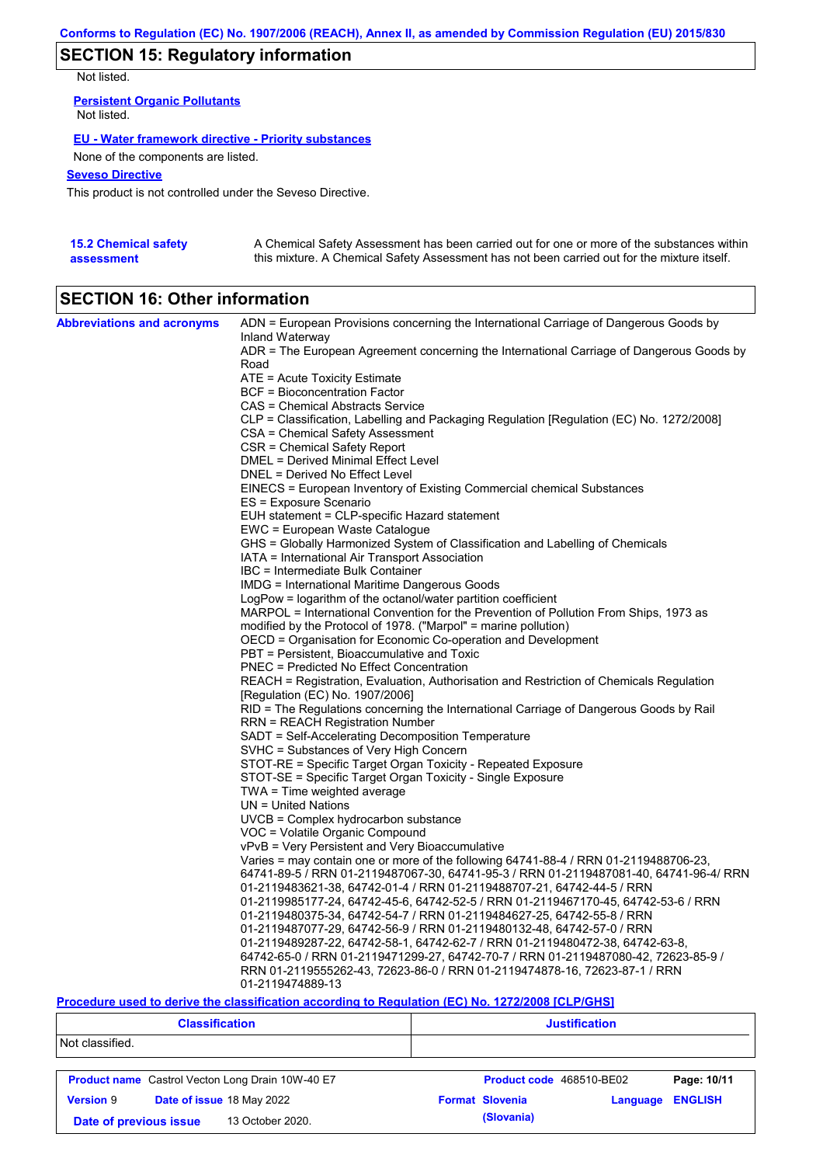# **SECTION 15: Regulatory information**

Not listed.

**Persistent Organic Pollutants** Not listed.

### **EU - Water framework directive - Priority substances**

None of the components are listed.

### **Seveso Directive**

This product is not controlled under the Seveso Directive.

| <b>15.2 Chemical safety</b> | A Chemical Safety Assessment has been carried out for one or more of the substances within  |
|-----------------------------|---------------------------------------------------------------------------------------------|
| assessment                  | this mixture. A Chemical Safety Assessment has not been carried out for the mixture itself. |

# **SECTION 16: Other information**

| <b>Abbreviations and acronyms</b> | ADN = European Provisions concerning the International Carriage of Dangerous Goods by                                           |
|-----------------------------------|---------------------------------------------------------------------------------------------------------------------------------|
|                                   | Inland Waterway<br>ADR = The European Agreement concerning the International Carriage of Dangerous Goods by                     |
|                                   | Road                                                                                                                            |
|                                   | ATE = Acute Toxicity Estimate                                                                                                   |
|                                   | BCF = Bioconcentration Factor                                                                                                   |
|                                   | CAS = Chemical Abstracts Service                                                                                                |
|                                   | CLP = Classification, Labelling and Packaging Regulation [Regulation (EC) No. 1272/2008]                                        |
|                                   | CSA = Chemical Safety Assessment                                                                                                |
|                                   | CSR = Chemical Safety Report                                                                                                    |
|                                   | DMEL = Derived Minimal Effect Level                                                                                             |
|                                   | DNEL = Derived No Effect Level                                                                                                  |
|                                   | EINECS = European Inventory of Existing Commercial chemical Substances                                                          |
|                                   | ES = Exposure Scenario                                                                                                          |
|                                   | EUH statement = CLP-specific Hazard statement                                                                                   |
|                                   | EWC = European Waste Catalogue                                                                                                  |
|                                   | GHS = Globally Harmonized System of Classification and Labelling of Chemicals<br>IATA = International Air Transport Association |
|                                   | IBC = Intermediate Bulk Container                                                                                               |
|                                   | <b>IMDG</b> = International Maritime Dangerous Goods                                                                            |
|                                   | LogPow = logarithm of the octanol/water partition coefficient                                                                   |
|                                   | MARPOL = International Convention for the Prevention of Pollution From Ships, 1973 as                                           |
|                                   | modified by the Protocol of 1978. ("Marpol" = marine pollution)                                                                 |
|                                   | OECD = Organisation for Economic Co-operation and Development                                                                   |
|                                   | PBT = Persistent, Bioaccumulative and Toxic                                                                                     |
|                                   | <b>PNEC</b> = Predicted No Effect Concentration                                                                                 |
|                                   | REACH = Registration, Evaluation, Authorisation and Restriction of Chemicals Regulation                                         |
|                                   | [Regulation (EC) No. 1907/2006]                                                                                                 |
|                                   | RID = The Regulations concerning the International Carriage of Dangerous Goods by Rail                                          |
|                                   | <b>RRN = REACH Registration Number</b>                                                                                          |
|                                   | SADT = Self-Accelerating Decomposition Temperature                                                                              |
|                                   | SVHC = Substances of Very High Concern                                                                                          |
|                                   | STOT-RE = Specific Target Organ Toxicity - Repeated Exposure<br>STOT-SE = Specific Target Organ Toxicity - Single Exposure      |
|                                   | $TWA = Time$ weighted average                                                                                                   |
|                                   | $UN = United Nations$                                                                                                           |
|                                   | UVCB = Complex hydrocarbon substance                                                                                            |
|                                   | VOC = Volatile Organic Compound                                                                                                 |
|                                   | vPvB = Very Persistent and Very Bioaccumulative                                                                                 |
|                                   | Varies = may contain one or more of the following 64741-88-4 / RRN 01-2119488706-23,                                            |
|                                   | 64741-89-5 / RRN 01-2119487067-30, 64741-95-3 / RRN 01-2119487081-40, 64741-96-4/ RRN                                           |
|                                   | 01-2119483621-38, 64742-01-4 / RRN 01-2119488707-21, 64742-44-5 / RRN                                                           |
|                                   | 01-2119985177-24, 64742-45-6, 64742-52-5 / RRN 01-2119467170-45, 64742-53-6 / RRN                                               |
|                                   | 01-2119480375-34, 64742-54-7 / RRN 01-2119484627-25, 64742-55-8 / RRN                                                           |
|                                   | 01-2119487077-29, 64742-56-9 / RRN 01-2119480132-48, 64742-57-0 / RRN                                                           |
|                                   | 01-2119489287-22, 64742-58-1, 64742-62-7 / RRN 01-2119480472-38, 64742-63-8,                                                    |
|                                   | 64742-65-0 / RRN 01-2119471299-27, 64742-70-7 / RRN 01-2119487080-42, 72623-85-9 /                                              |
|                                   | RRN 01-2119555262-43, 72623-86-0 / RRN 01-2119474878-16, 72623-87-1 / RRN                                                       |
|                                   | 01-2119474889-13                                                                                                                |

### **Procedure used to derive the classification according to Regulation (EC) No. 1272/2008 [CLP/GHS]**

| <b>Classification</b>                      |                                                         | <b>Justification</b>     |          |                |
|--------------------------------------------|---------------------------------------------------------|--------------------------|----------|----------------|
| Not classified.                            |                                                         |                          |          |                |
|                                            | <b>Product name</b> Castrol Vecton Long Drain 10W-40 E7 | Product code 468510-BE02 |          | Page: 10/11    |
| <b>Version 9</b>                           | Date of issue 18 May 2022                               | <b>Format Slovenia</b>   | Language | <b>ENGLISH</b> |
| 13 October 2020.<br>Date of previous issue |                                                         | (Slovania)               |          |                |